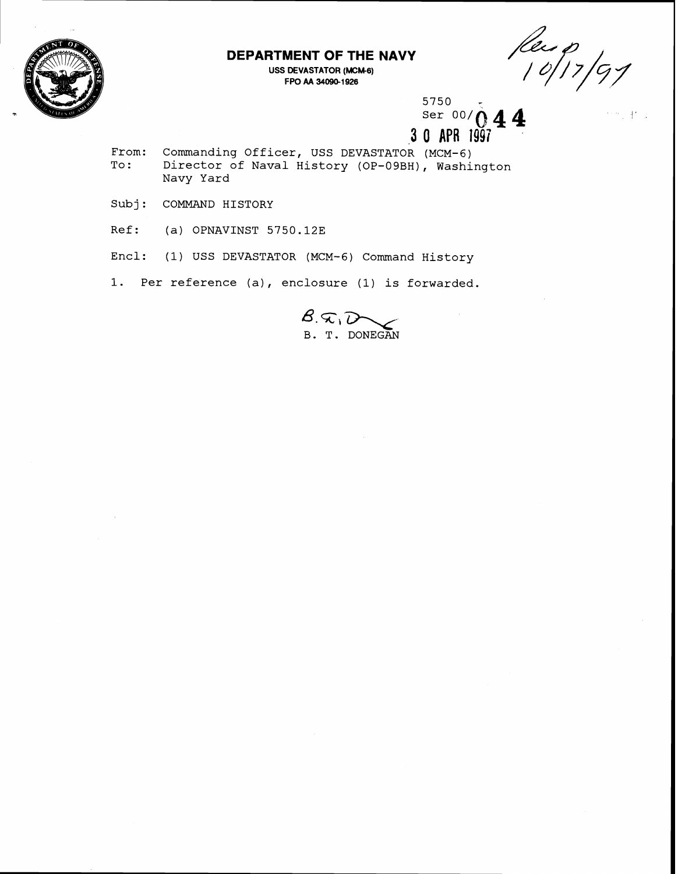

## **DEPARTMENT OF THE NAVY**

**USS DEVASTATOR (MCM-6) FPO AA 34090-1 926** 

Rec 0<br>10/17/91

 $5750$ <br>Ser 00/ $\Lambda$  **4 4 3 0 APR 1997** 

From: Commanding Officer, USS DEVASTATOR (MCM-6)<br>To: Director of Naval History (OP-09BH), Washi **To** : **Director of Naval History (OP-09BH), Washington Navy Yard** 

**Sub j** : **COMMAND HISTORY** 

**Ref: (a) OPNAVINST 5750.123** 

**Encl: (1) USS DEVASTATOR (MCM-6) Command History** 

**1. Per reference (a), enclosure (1) is forwarded.** 

 $\mathcal{B}$ . $\widehat{\boldsymbol{\kappa}}$ , $\widehat{\boldsymbol{\iota}}$ **B. T. DONEGAN**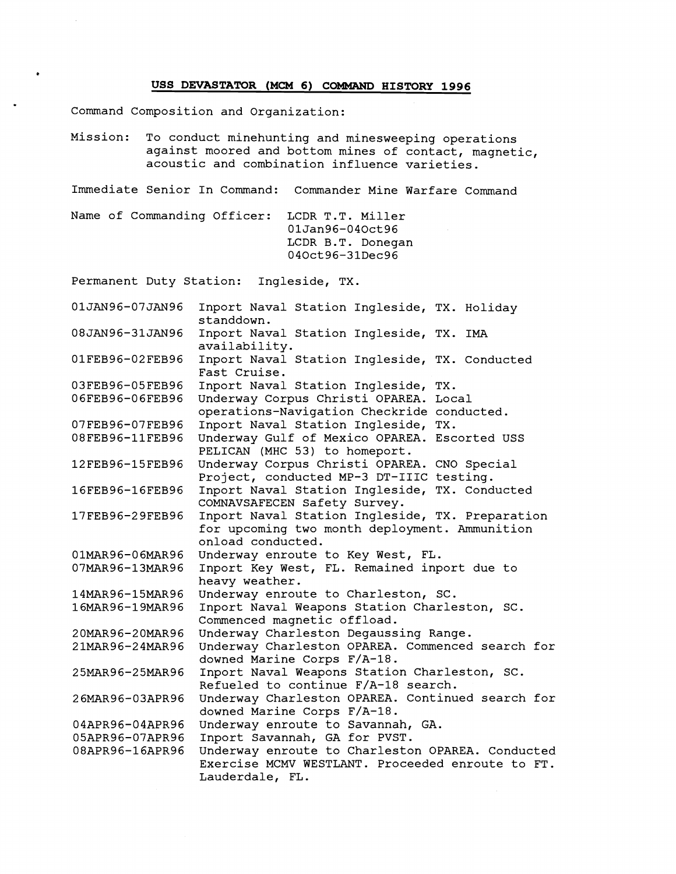## **USS DEVASTATOR (MCM 6) COMMAND HISTORY 1996**

Command Composition and Organization:

Mission: To conduct minehunting and minesweeping operations against moored and bottom mines of contact, magnetic, acoustic and combination influence varieties.

Immediate Senior In Command: Commander Mine Warfare Command

Name of Commanding Officer: LCDR T.T. Miller 01Jan96-040ct96 LCDR B.T. Donegan 040ct96-31Dec96

Permanent Duty Station: Ingleside, TX.

01JAN96-07JAN96 Inport Naval Station Ingleside, TX. Holiday standdown. 08JAN96-31JAN96 Inport Naval Station Ingleside, TX. IMA availability. 01FEB96-02FEB96 Inport Naval Station Ingleside, TX. Conducted Fast Cruise. 03FEB96-05FEB96 Inport Naval Station Ingleside, TX. 06FEB96-06FEB96 Underway Corpus Christi OPAREA. Local operations-Navigation Checkride conducted. Inport Naval Station Ingleside, TX. 07FEB96-07FEB96 08FEB96-11FEB96 Underway Gulf of Mexico OPAREA. Escorted USS PELICAN (MHC 53) to homeport. 12FEB96-15FEB96 Underway Corpus Christi OPAREA. CNO Special Project, conducted MP-3 DT-IIIC testing. 16FEB96-16FEB96 Inport Naval Station Ingleside, TX. Conducted COMNAVSAFECEN Safety Survey. Inport Naval Station Ingleside, TX. Preparation 17FEB96-29FEB96 for upcoming two month deployment. Ammunition onload conducted. 01MAR96-06MAR96 Underway enroute to Key West, FL. Inport Key West, FL. Remained inport due to 07MAR96-13MAR96 heavy weather. Underway enroute to Charleston, SC. 14MAR96-15MAR96 16MAR96-19MAR96 Inport Naval Weapons Station Charleston, SC. Commenced magnetic offload. Underway Charleston Degaussing Range. 20MAR96-20MAR96 Underway Charleston OPAREA. Commenced search for 21MAR96-24MAR96 downed Marine Corps F/A-18. 25MAR96-25MAR96 Inport Naval Weapons Station Charleston, SC. Refueled to continue F/A-18 search. Underway Charleston OPAREA. Continued search for 26MAR96-03APR96 downed Marine Corps F/A-18. 04APR96-04APR96 Underway enroute to Savannah, GA. Inport Savannah, GA for PVST. 05APR96-07APR96 Underway enroute to Charleston OPAREA. Conducted 08APR96-16APR96 Exercise MCMV WESTLANT. Proceeded enroute to FT. Lauderdale, FL.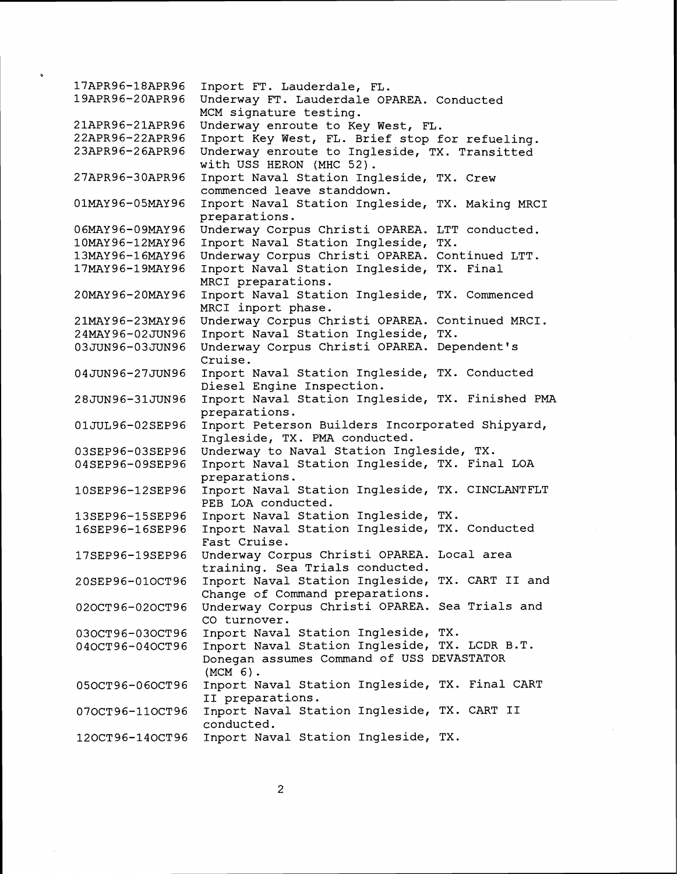17APR96-18APR96 Inport FT. Lauderdale, FL. 19APR96-20APR96 Underway FT. Lauderdale OPAREA. Conducted MCM signature testing. 21APR96-21APR96 Underway enroute to Key West, FL. Inport Key West, FL. Brief stop for refueling. 22APR96-22APR96 23APR96-26APR96 Underway enroute to Ingleside, TX. Transitted with USS HERON (MHC 52) . Inport Naval Station Ingleside, TX. Crew 27APR96-30APR96 commenced leave standdown. 01MAY96-05MAY96 Inport Naval Station Ingleside, TX. Making MRCI preparations. 06MAY96-09MAY96 Underway Corpus Christi OPAREA. LTT conducted. 10MAY96-12MAY96 Inport Naval Station Ingleside, TX. Underway Corpus Christi OPAREA. Continued LTT. 13MAY96-16MAY96 17MAY96-19MAY96 Inport Naval Station Ingleside, TX. Final MRCI preparations. 20MAY96-20MAY96 Inport Naval Station Ingleside, TX. Commenced MRCI inport phase. 21MAY96-23MAY96 Underway Corpus Christi OPAREA. Continued MRCI. 24MAY96-02JUN96 Inport Naval Station Ingleside, TX. 03JUN96-03JUN96 Underway Corpus Christi OPAREA. Dependent's Cruise. 04JUN96-27JUN96 Inport Naval Station Ingleside, TX. Conducted Diesel Engine Inspection. 28JUN96-31JUN96 Inport Naval Station Ingleside, TX. Finished PMA preparations. 01JUL96-02SEP96 Inport Peterson Builders Incorporated Shipyard, Ingleside, TX. PMA conducted. Underway to Naval Station Ingleside, TX. 03SEP96-03SEP96 Inport Naval Station Ingleside, TX. Final LOA 04SEP96-09SEP96 preparations. Inport Naval Station Ingleside, TX. CINCLANTFLT 10SEP96-12SEP96 PEB LOA conducted. 13SEP96-15SEP96 Inport Naval Station Ingleside, TX. 16SEP96-16SEP96 Inport Naval Station Ingleside, TX. Conducted Fast Cruise. Underway Corpus Christi OPAREA. Local area 17SEP96-19SEP96 training. Sea Trials conducted. 20SEP96-01OCT96 Inport Naval Station Ingleside, TX. CART II and Change of Command preparations. Underway Corpus Christi OPAREA. Sea Trials and 020CT96-020CT96 CO turnover. Inport Naval Station Ingleside, TX. 030CT96-030CT96 Inport Naval Station Ingleside, TX. LCDR B.T. 040CT96-040CT96 Donegan assumes Command of USS DEVASTATOR (MCM 6). Inport Naval Station Ingleside, TX. Final CART 050CT96-060CT96 I1 preparations. Inport Naval Station Ingleside, TX. CART I1 070CT96-110CT96 conducted. 120CT96-140CT96 Inport Naval Station Ingleside, TX.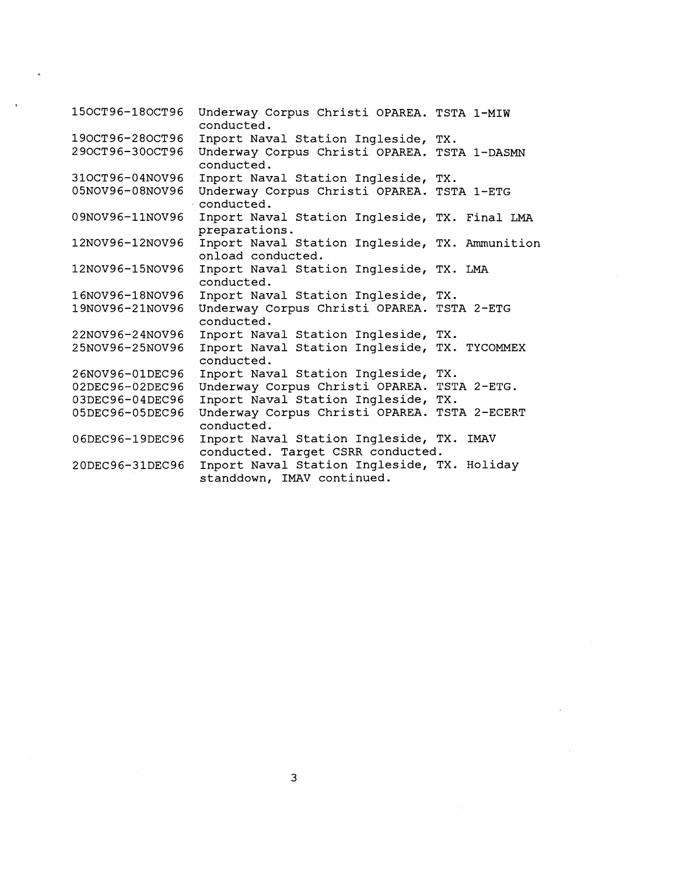| 150CT96-180CT96 | Underway Corpus Christi OPAREA. TSTA 1-MIW<br>conducted.                      |
|-----------------|-------------------------------------------------------------------------------|
| 190CT96-280CT96 | Inport Naval Station Ingleside, TX.                                           |
| 290CT96-300CT96 | Underway Corpus Christi OPAREA. TSTA 1-DASMN<br>conducted.                    |
| 310CT96-04NOV96 | Inport Naval Station Ingleside, TX.                                           |
| 05NOV96-08NOV96 | Underway Corpus Christi OPAREA. TSTA 1-ETG<br>conducted.                      |
| 09NOV96-11NOV96 | Inport Naval Station Ingleside, TX. Final LMA<br>preparations.                |
| 12NOV96-12NOV96 | Inport Naval Station Ingleside, TX. Ammunition<br>onload conducted.           |
| 12NOV96-15NOV96 | Inport Naval Station Ingleside, TX. LMA<br>conducted.                         |
| 16NOV96-18NOV96 | Inport Naval Station Ingleside, TX.                                           |
| 19NOV96-21NOV96 | Underway Corpus Christi OPAREA. TSTA 2-ETG<br>conducted.                      |
| 22NOV96-24NOV96 | Inport Naval Station Ingleside, TX.                                           |
| 25NOV96-25NOV96 | Inport Naval Station Ingleside, TX. TYCOMMEX<br>conducted.                    |
| 26NOV96-01DEC96 | Inport Naval Station Ingleside, TX.                                           |
| 02DEC96-02DEC96 | Underway Corpus Christi OPAREA. TSTA 2-ETG.                                   |
| 03DEC96-04DEC96 | Inport Naval Station Ingleside, TX.                                           |
| 05DEC96-05DEC96 | Underway Corpus Christi OPAREA. TSTA 2-ECERT<br>conducted.                    |
| 06DEC96-19DEC96 | Inport Naval Station Ingleside, TX. IMAV<br>conducted. Target CSRR conducted. |
| 20DEC96-31DEC96 | Inport Naval Station Ingleside, TX. Holiday<br>standdown, IMAV continued.     |

 $\label{eq:2.1} \mathcal{L}_{\text{max}} = \frac{1}{\sqrt{2\pi}}\sum_{i=1}^{N} \frac{1}{\sqrt{2\pi}}\sum_{i=1}^{N} \frac{1}{\sqrt{2\pi}}\sum_{i=1}^{N} \frac{1}{\sqrt{2\pi}}\sum_{i=1}^{N} \frac{1}{\sqrt{2\pi}}\sum_{i=1}^{N} \frac{1}{\sqrt{2\pi}}\sum_{i=1}^{N} \frac{1}{\sqrt{2\pi}}\sum_{i=1}^{N} \frac{1}{\sqrt{2\pi}}\sum_{i=1}^{N} \frac{1}{\sqrt{2\pi}}\sum_{i=1}^{N} \$ 

 $\ddot{\phantom{0}}$ 

 $\label{eq:2} \frac{1}{\sqrt{2}}\int_{0}^{\infty}\frac{1}{\sqrt{2\pi}}\left(\frac{1}{\sqrt{2}}\right)^{2}d\mu_{\rm{max}}^{2}d\mu_{\rm{max}}^{2}$ 

 $\sim$   $\sim$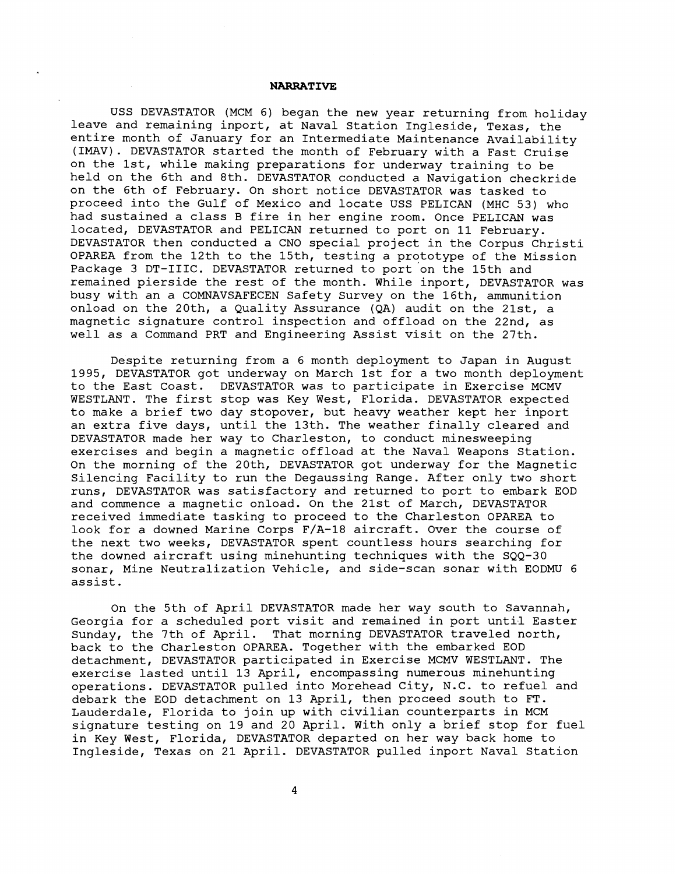## **NARRATIVE**

USS DEVASTATOR (MCM 6) began the new year returning from holiday leave and remaining inport, at Naval Station Ingleside, Texas, the entire month of January for an Intermediate Maintenance Availability (IMAV). DEVASTATOR started the month of February with a Fast Cruise on the lst, while making preparations for underway training to be held on the 6th and 8th. DEVASTATOR conducted a Navigation checkride on the 6th of February. On short notice DEVASTATOR was tasked to proceed into the Gulf of Mexico and locate USS PELICAN (MHC 53) who had sustained a class B fire in her engine room. Once PELICAN was located, DEVASTATOR and PELICAN returned to port on 11 February. DEVASTATOR then conducted a CNO special project in the Corpus Christi OPAREA from the 12th to the 15th, testing a prototype of the Mission Package 3 DT-IIIC. DEVASTATOR returned to port on the 15th and remained pierside the rest of the month. While inport, DEVASTATOR was busy with an a COMNAVSAFECEN Safety Survey on the 16th, ammunition onload on the 20th, a Quality Assurance (QA) audit on the 21st, a magnetic signature control inspection and offload on the 22nd, as well as a Command PRT and Engineering Assist visit on the 27th.

Despite returning from a 6 month deployment to Japan in August 1995, DEVASTATOR got underway on March 1st for a two month deployment to the East Coast. DEVASTATOR was to participate in Exercise MCMV WESTLANT. The first stop was Key West, Florida. DEVASTATOR expected to make a brief two day stopover, but heavy weather kept her inport an extra five days, until the 13th. The weather finally cleared and DEVASTATOR made her way to Charleston, to conduct minesweeping exercises and begin a magnetic offload at the Naval Weapons Station. On the morning of the 20th, DEVASTATOR got underway for the Magnetic Silencing Facility to run the Degaussing Range. After only two short runs, DEVASTATOR was satisfactory and returned to port to embark EOD and commence a magnetic onload. On the 21st of March, DEVASTATOR received immediate tasking to proceed to the Charleston OPAREA to look for a downed Marine Corps F/A-18 aircraft. Over the course of the next two weeks, DEVASTATOR spent countless hours searching for the downed aircraft using minehunting techniques with the SQQ-30 sonar, Mine Neutralization Vehicle, and side-scan sonar with EODMU 6 assist.

On the 5th of April DEVASTATOR made her way south to Savannah, Georgia for a scheduled port visit and remained in port until Easter Sunday, the 7th of April. That morning DEVASTATOR traveled north, back to the Charleston OPAREA. Together with the embarked EOD detachment, DEVASTATOR participated in Exercise MCMV WESTLANT. The exercise lasted until 13 April, encompassing numerous minehunting operations. DEVASTATOR pulled into Morehead City, N.C. to refuel and debark the EOD detachment on 13 April, then proceed south to FT. Lauderdale, Florida to join up with civilian counterparts in MCM signature testing on 19 and 20 April. With only a brief stop for fuel in Key West, Florida, DEVASTATOR departed on her way back home to Ingleside, Texas on 21 April. DEVASTATOR pulled inport Naval Station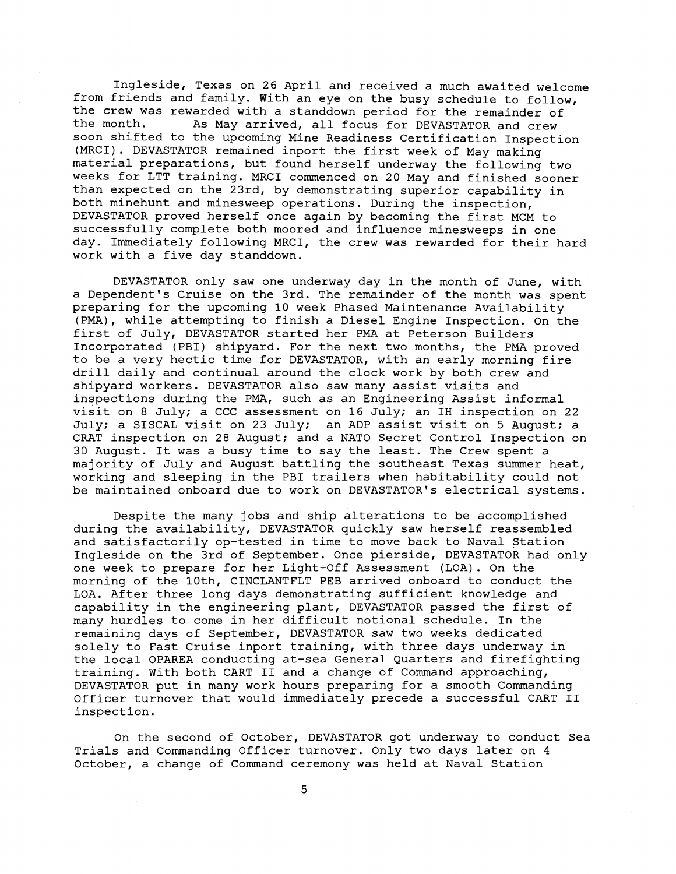Ingleside, Texas on 26 April and received a much awaited welcome from friends and family. With an eye on the busy schedule to follow, the crew was rewarded with a standdown period for the remainder of the month. As May arrived, all focus for DEVASTATOR and crew As May arrived, all focus for DEVASTATOR and crew soon shifted to the upcoming Mine Readiness Certification Inspection (MRCI). DEVASTATOR remained inport the first week of May making material preparations, but found herself underway the following two weeks for LTT training. MRCI commenced on 20 May and finished sooner than expected on the 23rd, by demonstrating superior capability in both minehunt and minesweep operations. During the inspection, DEVASTATOR proved herself once again by becoming the first MCM to successfully complete both moored and influence minesweeps in one day. Immediately following MRCI, the crew was rewarded for their hard work with a five day standdown.

DEVASTATOR only saw one underway day in the month of June, with a Dependent's Cruise on the 3rd. The remainder of the month was spent preparing for the upcoming 10 week Phased Maintenance Availability (PMA), while attempting to finish a Diesel Engine Inspection. On the first of July, DEVASTATOR started her PMA at Peterson Builders Incorporated (PBI) shipyard. For the next two months, the PMA proved to be a very hectic time for DEVASTATOR, with an early morning fire drill daily and continual around the clock work by both crew and shipyard workers. DEVASTATOR also saw many assist visits and inspections during the PMA, such as an Engineering Assist informal visit on 8 July; a CCC assessment on 16 July; an IH inspection on 22 July; a SISCAL visit on 23 July; an ADP assist visit on 5 August; a CRAT inspection on 28 August; and a NATO Secret Control Inspection on 30 August. It was a busy time to say the least. The Crew spent a majority of July and August battling the southeast Texas summer heat, working and sleeping in the PBI trailers when habitability could not be maintained onboard due to work on DEVASTATOR'S electrical systems.

Despite the many jobs and ship alterations to be accomplished during the availability, DEVASTATOR quickly saw herself reassembled and satisfactorily op-tested in time to move back to Naval Station Ingleside on the 3rd of September. Once pierside, DEVASTATOR had only one week to prepare for her Light-Off Assessment (LOA). On the morning of the loth, CINCLANTFLT PEB arrived onboard to conduct the LOA. After three long days demonstrating sufficient knowledge and capability in the engineering plant, DEVASTATOR passed the first of many hurdles to come in her difficult notional schedule. In the remaining days of September, DEVASTATOR saw two weeks dedicated solely to Fast Cruise inport training, with three days underway in the local OPAREA conducting at-sea General Quarters and firefighting training. With both CART I1 and a change of Command approaching, DEVASTATOR put in many work hours preparing for a smooth Commanding Officer turnover that would immediately precede a successful CART I1 inspection.

On the second of October, DEVASTATOR got underway to conduct Sea Trials and Commanding Officer turnover. Only two days later on 4 October, a change of Command ceremony was held at Naval Station